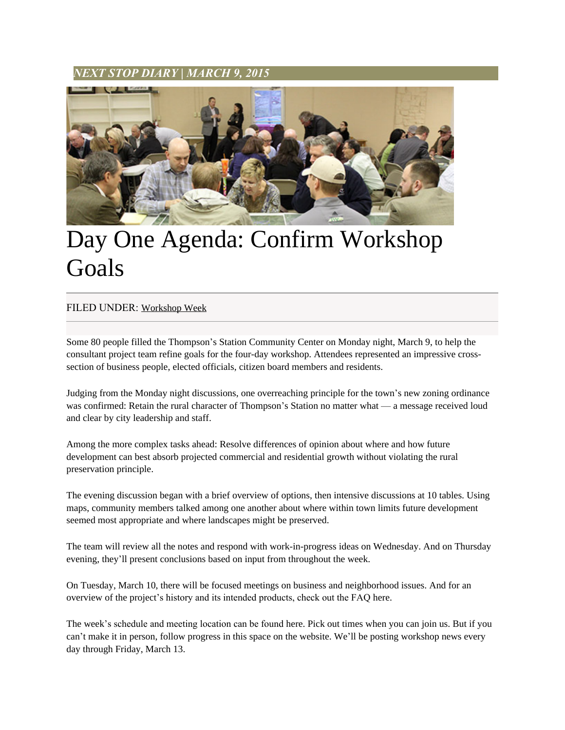## *NEXT STOP DIARY* **|** *MARCH 9, 2015*



## Day One Agenda: Confirm Workshop Goals

## FILED UNDER: [Workshop Week](http://www.nextstopts.com/category/workshop-week/)

Some 80 people filled the Thompson's Station Community Center on Monday night, March 9, to help the consultant project team refine goals for the four-day workshop. Attendees represented an impressive crosssection of business people, elected officials, citizen board members and residents.

Judging from the Monday night discussions, one overreaching principle for the town's new zoning ordinance was confirmed: Retain the rural character of Thompson's Station no matter what — a message received loud and clear by city leadership and staff.

Among the more complex tasks ahead: Resolve differences of opinion about where and how future development can best absorb projected commercial and residential growth without violating the rural preservation principle.

The evening discussion began with a brief overview of options, then intensive discussions at 10 tables. Using maps, community members talked among one another about where within town limits future development seemed most appropriate and where landscapes might be preserved.

The team will review all the notes and respond with work-in-progress ideas on Wednesday. And on Thursday evening, they'll present conclusions based on input from throughout the week.

On Tuesday, March 10, there will be focused meetings on business and neighborhood issues. And for an overview of the project's history and its intended products, check out the FAQ here.

The week's schedule and meeting location can be found here. Pick out times when you can join us. But if you can't make it in person, follow progress in this space on the website. We'll be posting workshop news every day through Friday, March 13.